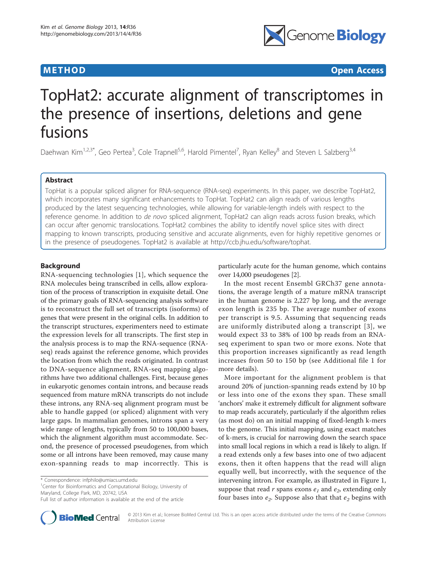

**METHOD CONSISTENTIAL CONSISTENCE ACCESS** 

# TopHat2: accurate alignment of transcriptomes in the presence of insertions, deletions and gene fusions

Daehwan Kim<sup>1,2,3\*</sup>, Geo Pertea<sup>3</sup>, Cole Trapnell<sup>5,6</sup>, Harold Pimentel<sup>7</sup>, Ryan Kelley<sup>8</sup> and Steven L Salzberg<sup>3,4</sup>

# Abstract

TopHat is a popular spliced aligner for RNA-sequence (RNA-seq) experiments. In this paper, we describe TopHat2, which incorporates many significant enhancements to TopHat. TopHat2 can align reads of various lengths produced by the latest sequencing technologies, while allowing for variable-length indels with respect to the reference genome. In addition to de novo spliced alignment, TopHat2 can align reads across fusion breaks, which can occur after genomic translocations. TopHat2 combines the ability to identify novel splice sites with direct mapping to known transcripts, producing sensitive and accurate alignments, even for highly repetitive genomes or in the presence of pseudogenes. TopHat2 is available at [http://ccb.jhu.edu/software/tophat.](http://ccb.jhu.edu/software/tophat)

# Background

RNA-sequencing technologies [\[1\]](#page-12-0), which sequence the RNA molecules being transcribed in cells, allow exploration of the process of transcription in exquisite detail. One of the primary goals of RNA-sequencing analysis software is to reconstruct the full set of transcripts (isoforms) of genes that were present in the original cells. In addition to the transcript structures, experimenters need to estimate the expression levels for all transcripts. The first step in the analysis process is to map the RNA-sequence (RNAseq) reads against the reference genome, which provides the location from which the reads originated. In contrast to DNA-sequence alignment, RNA-seq mapping algorithms have two additional challenges. First, because genes in eukaryotic genomes contain introns, and because reads sequenced from mature mRNA transcripts do not include these introns, any RNA-seq alignment program must be able to handle gapped (or spliced) alignment with very large gaps. In mammalian genomes, introns span a very wide range of lengths, typically from 50 to 100,000 bases, which the alignment algorithm must accommodate. Second, the presence of processed pseudogenes, from which some or all introns have been removed, may cause many exon-spanning reads to map incorrectly. This is

<sup>1</sup>Center for Bioinformatics and Computational Biology, University of Maryland, College Park, MD, 20742, USA



In the most recent Ensembl GRCh37 gene annotations, the average length of a mature mRNA transcript in the human genome is 2,227 bp long, and the average exon length is 235 bp. The average number of exons per transcript is 9.5. Assuming that sequencing reads are uniformly distributed along a transcript [[3\]](#page-12-0), we would expect 33 to 38% of 100 bp reads from an RNAseq experiment to span two or more exons. Note that this proportion increases significantly as read length increases from 50 to 150 bp (see Additional file [1](#page-12-0) for more details).

More important for the alignment problem is that around 20% of junction-spanning reads extend by 10 bp or less into one of the exons they span. These small 'anchors' make it extremely difficult for alignment software to map reads accurately, particularly if the algorithm relies (as most do) on an initial mapping of fixed-length k-mers to the genome. This initial mapping, using exact matches of k-mers, is crucial for narrowing down the search space into small local regions in which a read is likely to align. If a read extends only a few bases into one of two adjacent exons, then it often happens that the read will align equally well, but incorrectly, with the sequence of the intervening intron. For example, as illustrated in Figure [1](#page-1-0), suppose that read  $r$  spans exons  $e_1$  and  $e_2$ , extending only four bases into  $e_2$ . Suppose also that that  $e_2$  begins with



© 2013 Kim et al.; licensee BioMed Central Ltd. This is an open access article distributed under the terms of the Creative Commons Attribution License

<sup>\*</sup> Correspondence: [infphilo@umiacs.umd.edu](mailto:infphilo@umiacs.umd.edu)

Full list of author information is available at the end of the article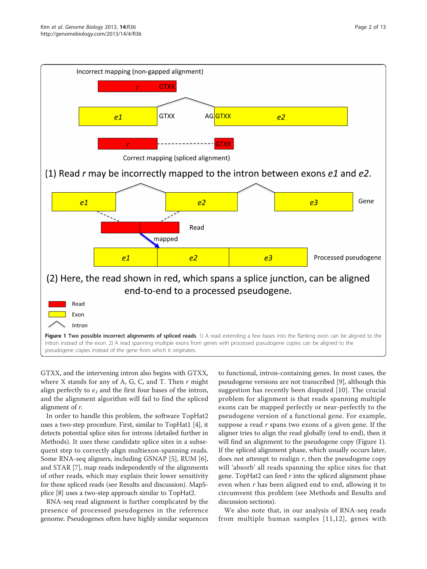<span id="page-1-0"></span>

GTXX, and the intervening intron also begins with GTXX, where X stands for any of A, G, C, and T. Then  $r$  might align perfectly to  $e_1$  and the first four bases of the intron, and the alignment algorithm will fail to find the spliced alignment of r.

In order to handle this problem, the software TopHat2 uses a two-step procedure. First, similar to TopHat1 [\[4\]](#page-12-0), it detects potential splice sites for introns (detailed further in Methods). It uses these candidate splice sites in a subsequent step to correctly align multiexon-spanning reads. Some RNA-seq aligners, including GSNAP [[5\]](#page-12-0), RUM [\[6](#page-12-0)], and STAR [\[7](#page-12-0)], map reads independently of the alignments of other reads, which may explain their lower sensitivity for these spliced reads (see Results and discussion). MapSplice [\[8\]](#page-12-0) uses a two-step approach similar to TopHat2.

RNA-seq read alignment is further complicated by the presence of processed pseudogenes in the reference genome. Pseudogenes often have highly similar sequences

to functional, intron-containing genes. In most cases, the pseudogene versions are not transcribed [[9\]](#page-12-0), although this suggestion has recently been disputed [[10\]](#page-12-0). The crucial problem for alignment is that reads spanning multiple exons can be mapped perfectly or near-perfectly to the pseudogene version of a functional gene. For example, suppose a read  $r$  spans two exons of a given gene. If the aligner tries to align the read globally (end to end), then it will find an alignment to the pseudogene copy (Figure 1). If the spliced alignment phase, which usually occurs later, does not attempt to realign  $r$ , then the pseudogene copy will 'absorb' all reads spanning the splice sites for that gene. TopHat2 can feed  $r$  into the spliced alignment phase even when r has been aligned end to end, allowing it to circumvent this problem (see Methods and Results and discussion sections).

We also note that, in our analysis of RNA-seq reads from multiple human samples [[11,12](#page-12-0)], genes with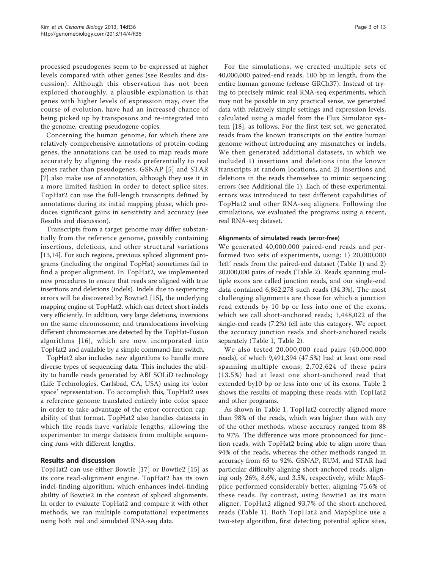processed pseudogenes seem to be expressed at higher levels compared with other genes (see Results and discussion). Although this observation has not been explored thoroughly, a plausible explanation is that genes with higher levels of expression may, over the course of evolution, have had an increased chance of being picked up by transposons and re-integrated into the genome, creating pseudogene copies.

Concerning the human genome, for which there are relatively comprehensive annotations of protein-coding genes, the annotations can be used to map reads more accurately by aligning the reads preferentially to real genes rather than pseudogenes. GSNAP [[5\]](#page-12-0) and STAR [[7\]](#page-12-0) also make use of annotation, although they use it in a more limited fashion in order to detect splice sites. TopHat2 can use the full-length transcripts defined by annotations during its initial mapping phase, which produces significant gains in sensitivity and accuracy (see Results and discussion).

Transcripts from a target genome may differ substantially from the reference genome, possibly containing insertions, deletions, and other structural variations [[13,14](#page-12-0)]. For such regions, previous spliced alignment programs (including the original TopHat) sometimes fail to find a proper alignment. In TopHat2, we implemented new procedures to ensure that reads are aligned with true insertions and deletions (indels). Indels due to sequencing errors will be discovered by Bowtie2 [\[15](#page-12-0)], the underlying mapping engine of TopHat2, which can detect short indels very efficiently. In addition, very large deletions, inversions on the same chromosome, and translocations involving different chromosomes are detected by the TopHat-Fusion algorithms [[16\]](#page-12-0), which are now incorporated into TopHat2 and available by a simple command-line switch.

TopHat2 also includes new algorithms to handle more diverse types of sequencing data. This includes the ability to handle reads generated by ABI SOLiD technology (Life Technologies, Carlsbad, CA, USA) using its 'color space' representation. To accomplish this, TopHat2 uses a reference genome translated entirely into color space in order to take advantage of the error-correction capability of that format. TopHat2 also handles datasets in which the reads have variable lengths, allowing the experimenter to merge datasets from multiple sequencing runs with different lengths.

# Results and discussion

TopHat2 can use either Bowtie [[17](#page-12-0)] or Bowtie2 [\[15\]](#page-12-0) as its core read-alignment engine. TopHat2 has its own indel-finding algorithm, which enhances indel-finding ability of Bowtie2 in the context of spliced alignments. In order to evaluate TopHat2 and compare it with other methods, we ran multiple computational experiments using both real and simulated RNA-seq data.

For the simulations, we created multiple sets of 40,000,000 paired-end reads, 100 bp in length, from the entire human genome (release GRCh37). Instead of trying to precisely mimic real RNA-seq experiments, which may not be possible in any practical sense, we generated data with relatively simple settings and expression levels, calculated using a model from the Flux Simulator system [\[18](#page-12-0)], as follows. For the first test set, we generated reads from the known transcripts on the entire human genome without introducing any mismatches or indels. We then generated additional datasets, in which we included 1) insertions and deletions into the known transcripts at random locations, and 2) insertions and deletions in the reads themselves to mimic sequencing errors (see Additional file [1](#page-12-0)). Each of these experimental errors was introduced to test different capabilities of TopHat2 and other RNA-seq aligners. Following the simulations, we evaluated the programs using a recent, real RNA-seq dataset.

### Alignments of simulated reads (error-free)

We generated 40,000,000 paired-end reads and performed two sets of experiments, using: 1) 20,000,000 'left' reads from the paired-end dataset (Table [1](#page-3-0)) and 2) 20,000,000 pairs of reads (Table [2\)](#page-3-0). Reads spanning multiple exons are called junction reads, and our single-end data contained 6,862,278 such reads (34.3%). The most challenging alignments are those for which a junction read extends by 10 bp or less into one of the exons, which we call short-anchored reads; 1,448,022 of the single-end reads (7.2%) fell into this category. We report the accuracy junction reads and short-anchored reads separately (Table [1](#page-3-0), Table [2\)](#page-3-0).

We also tested 20,000,000 read pairs (40,000,000 reads), of which 9,491,394 (47.5%) had at least one read spanning multiple exons; 2,702,624 of these pairs (13.5%) had at least one short-anchored read that extended by10 bp or less into one of its exons. Table [2](#page-3-0) shows the results of mapping these reads with TopHat2 and other programs.

As shown in Table [1](#page-3-0), TopHat2 correctly aligned more than 98% of the reads, which was higher than with any of the other methods, whose accuracy ranged from 88 to 97%. The difference was more pronounced for junction reads, with TopHat2 being able to align more than 94% of the reads, whereas the other methods ranged in accuracy from 65 to 92%. GSNAP, RUM, and STAR had particular difficulty aligning short-anchored reads, aligning only 26%, 8.6%, and 3.5%, respectively, while MapSplice performed considerably better, aligning 75.6% of these reads. By contrast, using Bowtie1 as its main aligner, TopHat2 aligned 93.7% of the short-anchored reads (Table [1\)](#page-3-0). Both TopHat2 and MapSplice use a two-step algorithm, first detecting potential splice sites,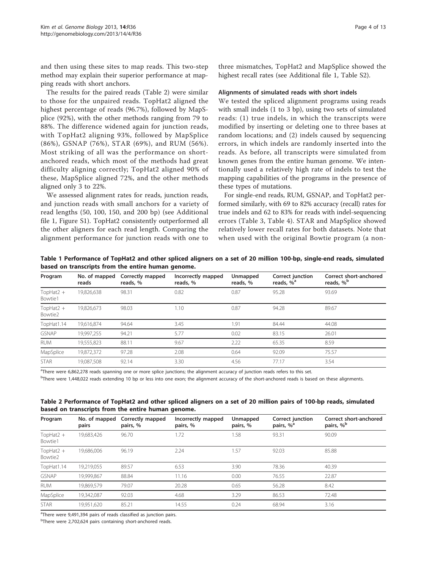<span id="page-3-0"></span>and then using these sites to map reads. This two-step method may explain their superior performance at mapping reads with short anchors.

The results for the paired reads (Table 2) were similar to those for the unpaired reads. TopHat2 aligned the highest percentage of reads (96.7%), followed by MapSplice (92%), with the other methods ranging from 79 to 88%. The difference widened again for junction reads, with TopHat2 aligning 93%, followed by MapSplice (86%), GSNAP (76%), STAR (69%), and RUM (56%). Most striking of all was the performance on shortanchored reads, which most of the methods had great difficulty aligning correctly; TopHat2 aligned 90% of these, MapSplice aligned 72%, and the other methods aligned only 3 to 22%.

We assessed alignment rates for reads, junction reads, and junction reads with small anchors for a variety of read lengths (50, 100, 150, and 200 bp) (see Additional file [1](#page-12-0), Figure S1). TopHat2 consistently outperformed all the other aligners for each read length. Comparing the alignment performance for junction reads with one to

#### Alignments of simulated reads with short indels

We tested the spliced alignment programs using reads with small indels (1 to 3 bp), using two sets of simulated reads: (1) true indels, in which the transcripts were modified by inserting or deleting one to three bases at random locations; and (2) indels caused by sequencing errors, in which indels are randomly inserted into the reads. As before, all transcripts were simulated from known genes from the entire human genome. We intentionally used a relatively high rate of indels to test the mapping capabilities of the programs in the presence of these types of mutations.

For single-end reads, RUM, GSNAP, and TopHat2 performed similarly, with 69 to 82% accuracy (recall) rates for true indels and 62 to 83% for reads with indel-sequencing errors (Table [3](#page-4-0), Table [4](#page-4-0)). STAR and MapSplice showed relatively lower recall rates for both datasets. Note that when used with the original Bowtie program (a non-

Table 1 Performance of TopHat2 and other spliced aligners on a set of 20 million 100-bp, single-end reads, simulated based on transcripts from the entire human genome.

| Program                 | No. of mapped<br>reads | Correctly mapped<br>reads, % | Incorrectly mapped<br>reads, % | Unmapped<br>reads, % | Correct junction<br>reads, % <sup>a</sup> | Correct short-anchored<br>reads, % <sup>b</sup> |
|-------------------------|------------------------|------------------------------|--------------------------------|----------------------|-------------------------------------------|-------------------------------------------------|
| TopHat $2 +$<br>Bowtie1 | 19,826,638             | 98.31                        | 0.82                           | 0.87                 | 95.28                                     | 93.69                                           |
| TopHat $2 +$<br>Bowtie2 | 19,826,673             | 98.03                        | 1.10                           | 0.87                 | 94.28                                     | 89.67                                           |
| TopHat1.14              | 19,616,874             | 94.64                        | 3.45                           | 1.91                 | 84.44                                     | 44.08                                           |
| <b>GSNAP</b>            | 19,997,255             | 94.21                        | 5.77                           | 0.02                 | 83.15                                     | 26.01                                           |
| <b>RUM</b>              | 19,555,823             | 88.11                        | 9.67                           | 2.22                 | 65.35                                     | 8.59                                            |
| MapSplice               | 19,872,372             | 97.28                        | 2.08                           | 0.64                 | 92.09                                     | 75.57                                           |
| <b>STAR</b>             | 19.087.508             | 92.14                        | 3.30                           | 4.56                 | 77.17                                     | 3.54                                            |

<sup>a</sup>There were 6,862,278 reads spanning one or more splice junctions; the alignment accuracy of junction reads refers to this set.

bThere were 1,448,022 reads extending 10 bp or less into one exon; the alignment accuracy of the short-anchored reads is based on these alignments.

| Table 2 Performance of TopHat2 and other spliced aligners on a set of 20 million pairs of 100-bp reads, simulated |  |  |
|-------------------------------------------------------------------------------------------------------------------|--|--|
| based on transcripts from the entire human genome.                                                                |  |  |

| Program                 | No. of mapped<br>pairs | Correctly mapped<br>pairs, % | Incorrectly mapped<br>pairs, % | Unmapped<br>pairs, % | Correct junction<br>pairs, % <sup>a</sup> | Correct short-anchored<br>pairs, % <sup>b</sup> |
|-------------------------|------------------------|------------------------------|--------------------------------|----------------------|-------------------------------------------|-------------------------------------------------|
| TopHat $2 +$<br>Bowtie1 | 19,683,426             | 96.70                        | 1.72                           | 1.58                 | 93.31                                     | 90.09                                           |
| TopHat $2 +$<br>Bowtie2 | 19.686.006             | 96.19                        | 2.24                           | 1.57                 | 92.03                                     | 85.88                                           |
| TopHat1.14              | 19,219,055             | 89.57                        | 6.53                           | 3.90                 | 78.36                                     | 40.39                                           |
| <b>GSNAP</b>            | 19.999.867             | 88.84                        | 11.16                          | 0.00                 | 76.55                                     | 22.87                                           |
| <b>RUM</b>              | 19.869.579             | 79.07                        | 20.28                          | 0.65                 | 56.28                                     | 8.42                                            |
| MapSplice               | 19,342,087             | 92.03                        | 4.68                           | 3.29                 | 86.53                                     | 72.48                                           |
| <b>STAR</b>             | 19.951.620             | 85.21                        | 14.55                          | 0.24                 | 68.94                                     | 3.16                                            |

<sup>a</sup>There were 9,491,394 pairs of reads classified as junction pairs.

<sup>b</sup>There were 2,702,624 pairs containing short-anchored reads.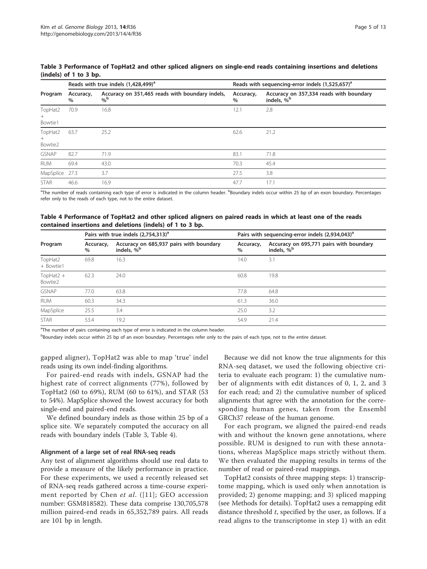|                              |                   | Reads with true indels (1,428,499) <sup>a</sup>                      | Reads with sequencing-error indels (1,525,657) <sup>a</sup> |                                                                   |  |
|------------------------------|-------------------|----------------------------------------------------------------------|-------------------------------------------------------------|-------------------------------------------------------------------|--|
| Program                      | Accuracy,<br>$\%$ | Accuracy on 351,465 reads with boundary indels,<br>$\%^{\mathsf{b}}$ | Accuracy,<br>$\%$                                           | Accuracy on 357,334 reads with boundary<br>indels, % <sup>b</sup> |  |
| TopHat2<br>$^{+}$<br>Bowtie1 | 70.9              | 16.8                                                                 | 12.1                                                        | 2.8                                                               |  |
| TopHat2<br>$^{+}$<br>Bowtie2 | 63.7              | 25.2                                                                 | 62.6                                                        | 21.2                                                              |  |
| <b>GSNAP</b>                 | 82.7              | 71.9                                                                 | 83.1                                                        | 71.8                                                              |  |
| <b>RUM</b>                   | 69.4              | 43.0                                                                 | 70.3                                                        | 45.4                                                              |  |
| MapSplice 27.3               |                   | 3.7                                                                  | 27.5                                                        | 3.8                                                               |  |
| <b>STAR</b>                  | 46.6              | 16.9                                                                 | 47.7                                                        | 17.1                                                              |  |

<span id="page-4-0"></span>Table 3 Performance of TopHat2 and other spliced aligners on single-end reads containing insertions and deletions (indels) of 1 to 3 bp.

<sup>a</sup>The number of reads containing each type of error is indicated in the column header. <sup>b</sup>Boundary indels occur within 25 bp of an exon boundary. Percentages refer only to the reads of each type, not to the entire dataset.

## Table 4 Performance of TopHat2 and other spliced aligners on paired reads in which at least one of the reads contained insertions and deletions (indels) of 1 to 3 bp.

| Program                 |                | Pairs with true indels $(2,754,313)^a$                            | Pairs with sequencing-error indels (2,934,043) <sup>a</sup> |                                                                   |  |
|-------------------------|----------------|-------------------------------------------------------------------|-------------------------------------------------------------|-------------------------------------------------------------------|--|
|                         | Accuracy,<br>% | Accuracy on 685,937 pairs with boundary<br>indels, % <sup>b</sup> | Accuracy,<br>$\%$                                           | Accuracy on 695,771 pairs with boundary<br>indels, % <sup>b</sup> |  |
| TopHat2<br>+ Bowtie1    | 69.8           | 16.3                                                              | 14.0                                                        | 3.1                                                               |  |
| TopHat $2 +$<br>Bowtie2 | 62.3           | 24.0                                                              | 60.8                                                        | 19.8                                                              |  |
| <b>GSNAP</b>            | 77.0           | 63.8                                                              | 77.8                                                        | 64.8                                                              |  |
| <b>RUM</b>              | 60.3           | 34.3                                                              | 61.3                                                        | 36.0                                                              |  |
| MapSplice               | 25.5           | 3.4                                                               | 25.0                                                        | 3.2                                                               |  |
| <b>STAR</b>             | 53.4           | 19.2                                                              | 54.9                                                        | 21.4                                                              |  |

<sup>a</sup>The number of pairs containing each type of error is indicated in the column header.

b<br>Boundary indels occur within 25 bp of an exon boundary. Percentages refer only to the pairs of each type, not to the entire dataset.

gapped aligner), TopHat2 was able to map 'true' indel reads using its own indel-finding algorithms.

For paired-end reads with indels, GSNAP had the highest rate of correct alignments (77%), followed by TopHat2 (60 to 69%), RUM (60 to 61%), and STAR (53 to 54%). MapSplice showed the lowest accuracy for both single-end and paired-end reads.

We defined boundary indels as those within 25 bp of a splice site. We separately computed the accuracy on all reads with boundary indels (Table 3, Table 4).

### Alignment of a large set of real RNA-seq reads

Any test of alignment algorithms should use real data to provide a measure of the likely performance in practice. For these experiments, we used a recently released set of RNA-seq reads gathered across a time-course experiment reported by Chen et al.  $([11];$  $([11];$  $([11];$  GEO accession number: GSM818582). These data comprise 130,705,578 million paired-end reads in 65,352,789 pairs. All reads are 101 bp in length.

Because we did not know the true alignments for this RNA-seq dataset, we used the following objective criteria to evaluate each program: 1) the cumulative number of alignments with edit distances of 0, 1, 2, and 3 for each read; and 2) the cumulative number of spliced alignments that agree with the annotation for the corresponding human genes, taken from the Ensembl GRCh37 release of the human genome.

For each program, we aligned the paired-end reads with and without the known gene annotations, where possible. RUM is designed to run with these annotations, whereas MapSplice maps strictly without them. We then evaluated the mapping results in terms of the number of read or paired-read mappings.

TopHat2 consists of three mapping steps: 1) transcriptome mapping, which is used only when annotation is provided; 2) genome mapping; and 3) spliced mapping (see Methods for details). TopHat2 uses a remapping edit distance threshold  $t$ , specified by the user, as follows. If a read aligns to the transcriptome in step 1) with an edit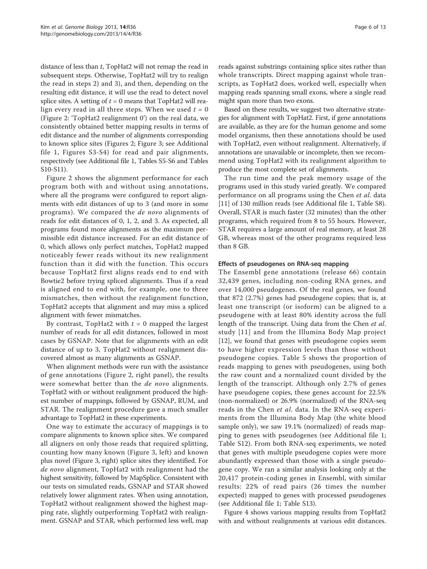distance of less than t, TopHat2 will not remap the read in subsequent steps. Otherwise, TopHat2 will try to realign the read in steps 2) and 3), and then, depending on the resulting edit distance, it will use the read to detect novel splice sites. A setting of  $t = 0$  means that TopHat2 will realign every read in all three steps. When we used  $t = 0$ (Figure [2](#page-6-0): 'TopHat2 realignment 0') on the real data, we consistently obtained better mapping results in terms of edit distance and the number of alignments corresponding to known splice sites (Figures [2](#page-6-0); Figure [3](#page-7-0); see Additional file [1](#page-12-0), Figures S3-S4) for read and pair alignments, respectively (see Additional file [1,](#page-12-0) Tables S5-S6 and Tables S10-S11).

Figure [2](#page-6-0) shows the alignment performance for each program both with and without using annotations, where all the programs were configured to report alignments with edit distances of up to 3 (and more in some programs). We compared the de novo alignments of reads for edit distances of 0, 1, 2, and 3. As expected, all programs found more alignments as the maximum permissible edit distance increased. For an edit distance of 0, which allows only perfect matches, TopHat2 mapped noticeably fewer reads without its new realignment function than it did with the function. This occurs because TopHat2 first aligns reads end to end with Bowtie2 before trying spliced alignments. Thus if a read is aligned end to end with, for example, one to three mismatches, then without the realignment function, TopHat2 accepts that alignment and may miss a spliced alignment with fewer mismatches.

By contrast, TopHat2 with  $t = 0$  mapped the largest number of reads for all edit distances, followed in most cases by GSNAP. Note that for alignments with an edit distance of up to 3, TopHat2 without realignment discovered almost as many alignments as GSNAP.

When alignment methods were run with the assistance of gene annotations (Figure [2](#page-6-0), right panel), the results were somewhat better than the de novo alignments. TopHat2 with or without realignment produced the highest number of mappings, followed by GSNAP, RUM, and STAR. The realignment procedure gave a much smaller advantage to TopHat2 in these experiments.

One way to estimate the accuracy of mappings is to compare alignments to known splice sites. We compared all aligners on only those reads that required splitting, counting how many known (Figure [3,](#page-7-0) left) and known plus novel (Figure [3](#page-7-0), right) splice sites they identified. For de novo alignment, TopHat2 with realignment had the highest sensitivity, followed by MapSplice. Consistent with our tests on simulated reads, GSNAP and STAR showed relatively lower alignment rates. When using annotation, TopHat2 without realignment showed the highest mapping rate, slightly outperforming TopHat2 with realignment. GSNAP and STAR, which performed less well, map

reads against substrings containing splice sites rather than whole transcripts. Direct mapping against whole transcripts, as TopHat2 does, worked well, especially when mapping reads spanning small exons, where a single read might span more than two exons.

Based on these results, we suggest two alternative strategies for alignment with TopHat2. First, if gene annotations are available, as they are for the human genome and some model organisms, then these annotations should be used with TopHat2, even without realignment. Alternatively, if annotations are unavailable or incomplete, then we recommend using TopHat2 with its realignment algorithm to produce the most complete set of alignments.

The run time and the peak memory usage of the programs used in this study varied greatly. We compared performance on all programs using the Chen *et al*. data [[11\]](#page-12-0) of 130 million reads (see Additional file [1,](#page-12-0) Table S8). Overall, STAR is much faster (32 minutes) than the other programs, which required from 8 to 55 hours. However, STAR requires a large amount of real memory, at least 28 GB, whereas most of the other programs required less than 8 GB.

### Effects of pseudogenes on RNA-seq mapping

The Ensembl gene annotations (release 66) contain 32,439 genes, including non-coding RNA genes, and over 14,000 pseudogenes. Of the real genes, we found that 872 (2.7%) genes had pseudogene copies; that is, at least one transcript (or isoform) can be aligned to a pseudogene with at least 80% identity across the full length of the transcript. Using data from the Chen et al. study [[11\]](#page-12-0) and from the Illumina Body Map project [[12\]](#page-12-0), we found that genes with pseudogene copies seem to have higher expression levels than those without pseudogene copies. Table [5](#page-8-0) shows the proportion of reads mapping to genes with pseudogenes, using both the raw count and a normalized count divided by the length of the transcript. Although only 2.7% of genes have pseudogene copies, these genes account for 22.5% (non-normalized) or 26.9% (normalized) of the RNA-seq reads in the Chen et al. data. In the RNA-seq experiments from the Illumina Body Map (the white blood sample only), we saw 19.1% (normalized) of reads mapping to genes with pseudogenes (see Additional file [1](#page-12-0); Table S12). From both RNA-seq experiments, we noted that genes with multiple pseudogene copies were more abundantly expressed than those with a single pseudogene copy. We ran a similar analysis looking only at the 20,417 protein-coding genes in Ensembl, with similar results: 22% of read pairs (26 times the number expected) mapped to genes with processed pseudogenes (see Additional file [1](#page-12-0); Table S13).

Figure [4](#page-9-0) shows various mapping results from TopHat2 with and without realignments at various edit distances.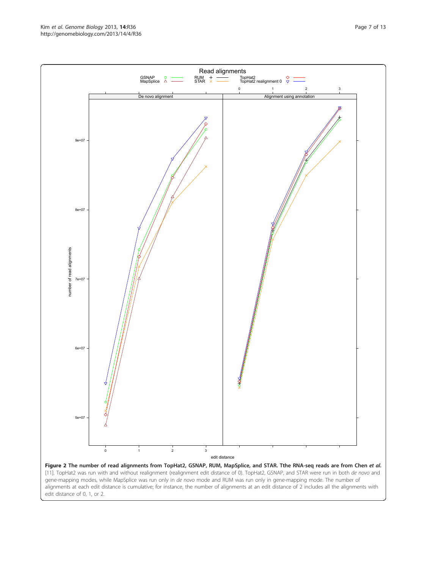http://genomebiology.com/2013/14/4/R36

<span id="page-6-0"></span>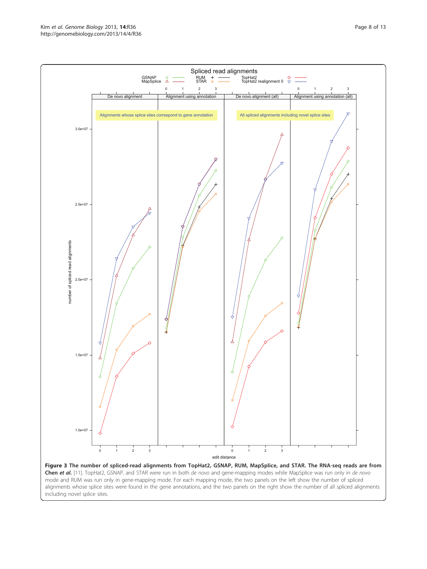alignments whose splice sites were found in the gene annotations, and the two panels on the right show the number of all spliced alignments including novel splice sites.

<span id="page-7-0"></span>Kim et al. Genome Biology 2013, <sup>14</sup>:R36 http://genomebiology.com/2013/14/4/R36

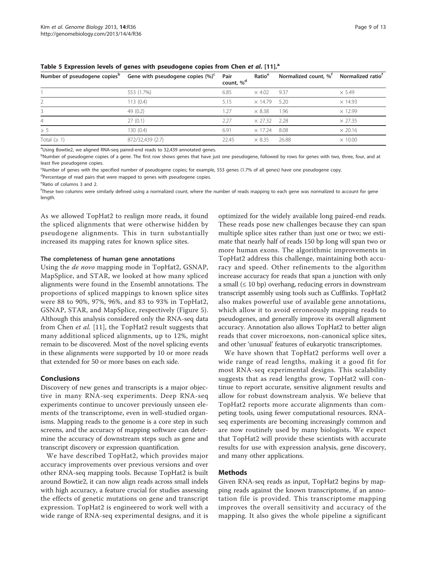|                   | Number of pseudogene copies <sup>b</sup> Gene with pseudogene copies $(\%)^c$ | Pair<br>count, % <sup>d</sup> | Ratio <sup>e</sup>  | Normalized count, % <sup>†</sup> | Normalized ratio <sup>r</sup> |
|-------------------|-------------------------------------------------------------------------------|-------------------------------|---------------------|----------------------------------|-------------------------------|
|                   | 553 (1.7%)                                                                    | 6.85                          | $\times$ 4.02       | 9.37                             | $\times$ 5.49                 |
|                   | 113(0.4)                                                                      | 5.15                          | $\times$ 14.79 5.20 |                                  | $\times$ 14.93                |
|                   | 49(0.2)                                                                       | 1.27                          | $\times$ 8.38       | 1.96                             | $\times$ 12.99                |
| 4                 | 27(0.1)                                                                       | 2.27                          | $\times$ 27.32 2.28 |                                  | $\times$ 27.35                |
| $\geq 5$          | 130 (0.4)                                                                     | 6.91                          | $\times$ 17.24      | 8.08                             | $\times$ 20.16                |
| Total $( \geq 1)$ | 872/32,439 (2.7)                                                              | 22.45                         | $\times$ 8.35       | 26.88                            | $\times$ 10.00                |

<span id="page-8-0"></span>Table 5 Expression levels of genes with pseudogene copies from Chen et al. [[11\]](#page-12-0).<sup>a</sup>

aUsing Bowtie2, we aligned RNA-seq paired-end reads to 32,439 annotated genes.

bNumber of pseudogene copies of a gene. The first row shows genes that have just one pseudogene, followed by rows for genes with two, three, four, and at least five pseudogene copies.

c Number of genes with the specified number of pseudogene copies; for example, 553 genes (1.7% of all genes) have one pseudogene copy. <sup>d</sup>Percentage of read pairs that were mapped to genes with pseudogene copies.

e Ratio of columns 3 and 2.

f These two columns were similarly defined using a normalized count, where the number of reads mapping to each gene was normalized to account for gene length.

As we allowed TopHat2 to realign more reads, it found the spliced alignments that were otherwise hidden by pseudogene alignments. This in turn substantially increased its mapping rates for known splice sites.

#### The completeness of human gene annotations

Using the de novo mapping mode in TopHat2, GSNAP, MapSplice, and STAR, we looked at how many spliced alignments were found in the Ensembl annotations. The proportions of spliced mappings to known splice sites were 88 to 90%, 97%, 96%, and 83 to 93% in TopHat2, GSNAP, STAR, and MapSplice, respectively (Figure [5](#page-10-0)). Although this analysis considered only the RNA-seq data from Chen et al. [[11](#page-12-0)], the TopHat2 result suggests that many additional spliced alignments, up to 12%, might remain to be discovered. Most of the novel splicing events in these alignments were supported by 10 or more reads that extended for 50 or more bases on each side.

# Conclusions

Discovery of new genes and transcripts is a major objective in many RNA-seq experiments. Deep RNA-seq experiments continue to uncover previously unseen elements of the transcriptome, even in well-studied organisms. Mapping reads to the genome is a core step in such screens, and the accuracy of mapping software can determine the accuracy of downstream steps such as gene and transcript discovery or expression quantification.

We have described TopHat2, which provides major accuracy improvements over previous versions and over other RNA-seq mapping tools. Because TopHat2 is built around Bowtie2, it can now align reads across small indels with high accuracy, a feature crucial for studies assessing the effects of genetic mutations on gene and transcript expression. TopHat2 is engineered to work well with a wide range of RNA-seq experimental designs, and it is

optimized for the widely available long paired-end reads. These reads pose new challenges because they can span multiple splice sites rather than just one or two; we estimate that nearly half of reads 150 bp long will span two or more human exons. The algorithmic improvements in TopHat2 address this challenge, maintaining both accuracy and speed. Other refinements to the algorithm increase accuracy for reads that span a junction with only a small  $(≤ 10 bp)$  overhang, reducing errors in downstream transcript assembly using tools such as Cufflinks. TopHat2 also makes powerful use of available gene annotations, which allow it to avoid erroneously mapping reads to pseudogenes, and generally improve its overall alignment accuracy. Annotation also allows TopHat2 to better align reads that cover microexons, non-canonical splice sites, and other 'unusual' features of eukaryotic transcriptomes.

We have shown that TopHat2 performs well over a wide range of read lengths, making it a good fit for most RNA-seq experimental designs. This scalability suggests that as read lengths grow, TopHat2 will continue to report accurate, sensitive alignment results and allow for robust downstream analysis. We believe that TopHat2 reports more accurate alignments than competing tools, using fewer computational resources. RNAseq experiments are becoming increasingly common and are now routinely used by many biologists. We expect that TopHat2 will provide these scientists with accurate results for use with expression analysis, gene discovery, and many other applications.

### Methods

Given RNA-seq reads as input, TopHat2 begins by mapping reads against the known transcriptome, if an annotation file is provided. This transcriptome mapping improves the overall sensitivity and accuracy of the mapping. It also gives the whole pipeline a significant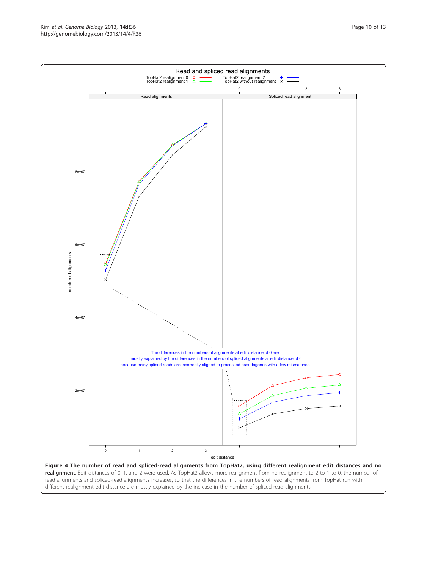Kim et al. Genome Biology 2013, <sup>14</sup>:R36 http://genomebiology.com/2013/14/4/R36

<span id="page-9-0"></span>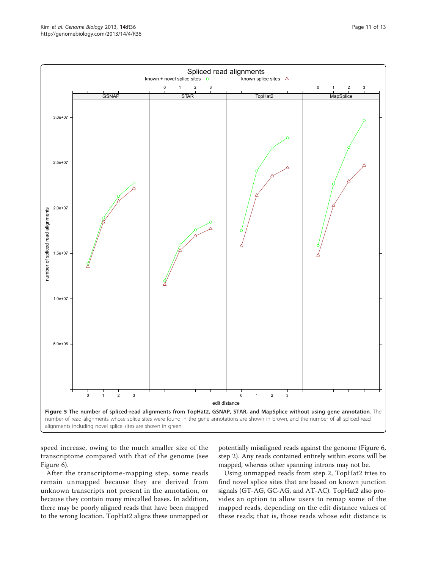<span id="page-10-0"></span>

speed increase, owing to the much smaller size of the transcriptome compared with that of the genome (see Figure [6](#page-11-0)).

After the transcriptome-mapping step, some reads remain unmapped because they are derived from unknown transcripts not present in the annotation, or because they contain many miscalled bases. In addition, there may be poorly aligned reads that have been mapped to the wrong location. TopHat2 aligns these unmapped or

potentially misaligned reads against the genome (Figure [6](#page-11-0), step 2). Any reads contained entirely within exons will be mapped, whereas other spanning introns may not be.

Using unmapped reads from step 2, TopHat2 tries to find novel splice sites that are based on known junction signals (GT-AG, GC-AG, and AT-AC). TopHat2 also provides an option to allow users to remap some of the mapped reads, depending on the edit distance values of these reads; that is, those reads whose edit distance is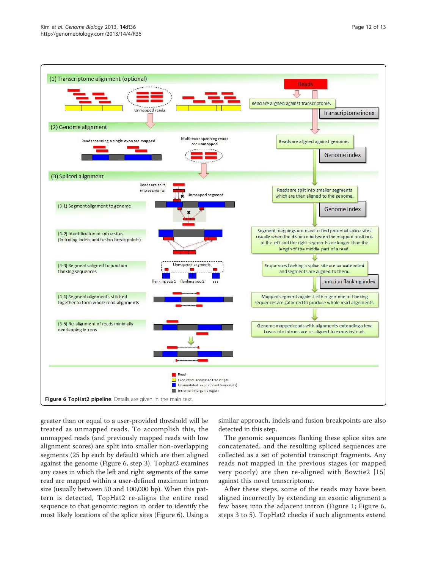<span id="page-11-0"></span>

greater than or equal to a user-provided threshold will be treated as unmapped reads. To accomplish this, the unmapped reads (and previously mapped reads with low alignment scores) are split into smaller non-overlapping segments (25 bp each by default) which are then aligned against the genome (Figure 6, step 3). Tophat2 examines any cases in which the left and right segments of the same read are mapped within a user-defined maximum intron size (usually between 50 and 100,000 bp). When this pattern is detected, TopHat2 re-aligns the entire read sequence to that genomic region in order to identify the most likely locations of the splice sites (Figure 6). Using a similar approach, indels and fusion breakpoints are also detected in this step.

The genomic sequences flanking these splice sites are concatenated, and the resulting spliced sequences are collected as a set of potential transcript fragments. Any reads not mapped in the previous stages (or mapped very poorly) are then re-aligned with Bowtie2 [[15](#page-12-0)] against this novel transcriptome.

After these steps, some of the reads may have been aligned incorrectly by extending an exonic alignment a few bases into the adjacent intron (Figure [1;](#page-1-0) Figure 6, steps 3 to 5). TopHat2 checks if such alignments extend